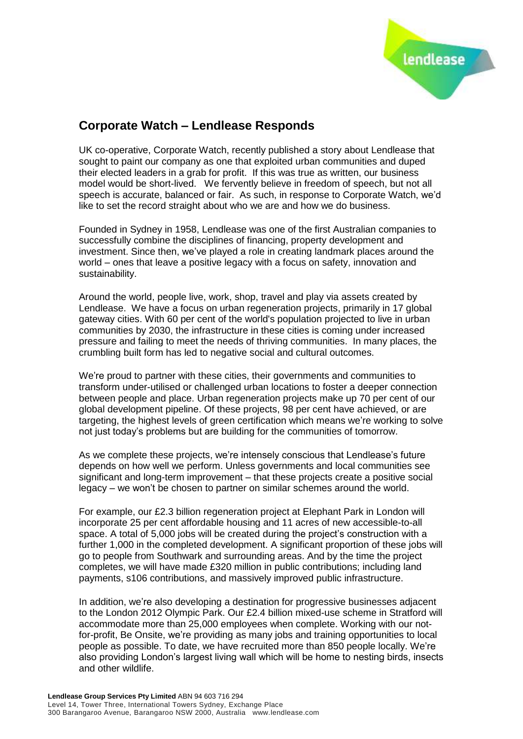

## **Corporate Watch – Lendlease Responds**

UK co-operative, Corporate Watch, recently published a story about Lendlease that sought to paint our company as one that exploited urban communities and duped their elected leaders in a grab for profit. If this was true as written, our business model would be short-lived. We fervently believe in freedom of speech, but not all speech is accurate, balanced or fair. As such, in response to Corporate Watch, we'd like to set the record straight about who we are and how we do business.

Founded in Sydney in 1958, Lendlease was one of the first Australian companies to successfully combine the disciplines of financing, property development and investment. Since then, we've played a role in creating landmark places around the world – ones that leave a positive legacy with a focus on safety, innovation and sustainability.

Around the world, people live, work, shop, travel and play via assets created by Lendlease. We have a focus on urban regeneration projects, primarily in 17 global gateway cities. With 60 per cent of the world's population projected to live in urban communities by 2030, the infrastructure in these cities is coming under increased pressure and failing to meet the needs of thriving communities. In many places, the crumbling built form has led to negative social and cultural outcomes.

We're proud to partner with these cities, their governments and communities to transform under-utilised or challenged urban locations to foster a deeper connection between people and place. Urban regeneration projects make up 70 per cent of our global development pipeline. Of these projects, 98 per cent have achieved, or are targeting, the highest levels of green certification which means we're working to solve not just today's problems but are building for the communities of tomorrow.

As we complete these projects, we're intensely conscious that Lendlease's future depends on how well we perform. Unless governments and local communities see significant and long-term improvement – that these projects create a positive social legacy – we won't be chosen to partner on similar schemes around the world.

For example, our £2.3 billion regeneration project at Elephant Park in London will incorporate 25 per cent affordable housing and 11 acres of new accessible-to-all space. A total of 5,000 jobs will be created during the project's construction with a further 1,000 in the completed development. A significant proportion of these jobs will go to people from Southwark and surrounding areas. And by the time the project completes, we will have made £320 million in public contributions; including land payments, s106 contributions, and massively improved public infrastructure.

In addition, we're also developing a destination for progressive businesses adjacent to the London 2012 Olympic Park. Our £2.4 billion mixed-use scheme in Stratford will accommodate more than 25,000 employees when complete. Working with our notfor-profit, Be Onsite, we're providing as many jobs and training opportunities to local people as possible. To date, we have recruited more than 850 people locally. We're also providing London's largest living wall which will be home to nesting birds, insects and other wildlife.